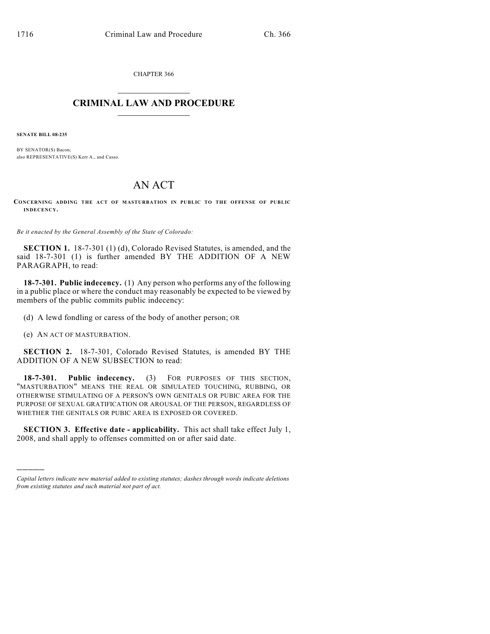CHAPTER 366

## $\mathcal{L}_\text{max}$  . The set of the set of the set of the set of the set of the set of the set of the set of the set of the set of the set of the set of the set of the set of the set of the set of the set of the set of the set **CRIMINAL LAW AND PROCEDURE**  $\_$   $\_$   $\_$   $\_$   $\_$   $\_$   $\_$   $\_$   $\_$   $\_$

**SENATE BILL 08-235**

BY SENATOR(S) Bacon; also REPRESENTATIVE(S) Kerr A., and Casso.

## AN ACT

**CONCERNING ADDING THE ACT OF MASTURBATION IN PUBLIC TO THE OFFENSE OF PUBLIC INDECENCY.**

*Be it enacted by the General Assembly of the State of Colorado:*

**SECTION 1.** 18-7-301 (1) (d), Colorado Revised Statutes, is amended, and the said 18-7-301 (1) is further amended BY THE ADDITION OF A NEW PARAGRAPH, to read:

**18-7-301. Public indecency.** (1) Any person who performs any of the following in a public place or where the conduct may reasonably be expected to be viewed by members of the public commits public indecency:

(d) A lewd fondling or caress of the body of another person; OR

(e) AN ACT OF MASTURBATION.

)))))

**SECTION 2.** 18-7-301, Colorado Revised Statutes, is amended BY THE ADDITION OF A NEW SUBSECTION to read:

**18-7-301. Public indecency.** (3) FOR PURPOSES OF THIS SECTION, "MASTURBATION" MEANS THE REAL OR SIMULATED TOUCHING, RUBBING, OR OTHERWISE STIMULATING OF A PERSON'S OWN GENITALS OR PUBIC AREA FOR THE PURPOSE OF SEXUAL GRATIFICATION OR AROUSAL OF THE PERSON, REGARDLESS OF WHETHER THE GENITALS OR PUBIC AREA IS EXPOSED OR COVERED.

**SECTION 3. Effective date - applicability.** This act shall take effect July 1, 2008, and shall apply to offenses committed on or after said date.

*Capital letters indicate new material added to existing statutes; dashes through words indicate deletions from existing statutes and such material not part of act.*